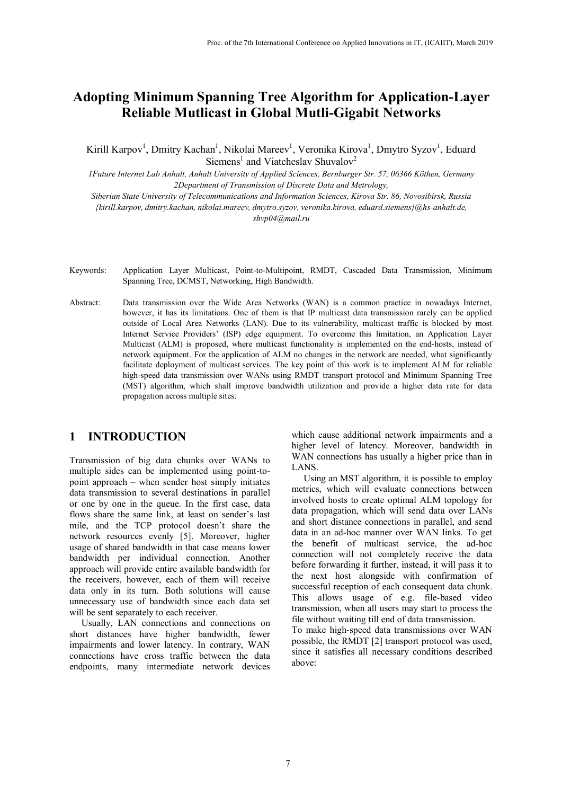# **Adopting Minimum Spanning Tree Algorithm for Application-Layer Reliable Mutlicast in Global Mutli-Gigabit Networks**

Kirill Karpov<sup>1</sup>, Dmitry Kachan<sup>1</sup>, Nikolai Mareev<sup>1</sup>, Veronika Kirova<sup>1</sup>, Dmytro Syzov<sup>1</sup>, Eduard Siemens<sup>1</sup> and Viatcheslav Shuvalov<sup>2</sup>

*1Future Internet Lab Anhalt, Anhalt University of Applied Sciences, Bernburger Str. 57, 06366 Köthen, Germany 2Department of Transmission of Discrete Data and Metrology,* 

*Siberian State University of Telecommunications and Information Sciences, Kirova Str. 86, Novosibirsk, Russia {kirill.karpov, dmitry.kachan, nikolai.mareev, dmytro.syzov, veronika.kirova, eduard.siemens}@hs-anhalt.de, shvp04@mail.ru* 

- Keywords: Application Layer Multicast, Point-to-Multipoint, RMDT, Cascaded Data Transmission, Minimum Spanning Tree, DCMST, Networking, High Bandwidth.
- Abstract: Data transmission over the Wide Area Networks (WAN) is a common practice in nowadays Internet, however, it has its limitations. One of them is that IP multicast data transmission rarely can be applied outside of Local Area Networks (LAN). Due to its vulnerability, multicast traffic is blocked by most Internet Service Providers' (ISP) edge equipment. To overcome this limitation, an Application Layer Multicast (ALM) is proposed, where multicast functionality is implemented on the end-hosts, instead of network equipment. For the application of ALM no changes in the network are needed, what significantly facilitate deployment of multicast services. The key point of this work is to implement ALM for reliable high-speed data transmission over WANs using RMDT transport protocol and Minimum Spanning Tree (MST) algorithm, which shall improve bandwidth utilization and provide a higher data rate for data propagation across multiple sites.

## **1 INTRODUCTION**

Transmission of big data chunks over WANs to multiple sides can be implemented using point-topoint approach – when sender host simply initiates data transmission to several destinations in parallel or one by one in the queue. In the first case, data flows share the same link, at least on sender's last mile, and the TCP protocol doesn't share the network resources evenly [5]. Moreover, higher usage of shared bandwidth in that case means lower bandwidth per individual connection. Another approach will provide entire available bandwidth for the receivers, however, each of them will receive data only in its turn. Both solutions will cause unnecessary use of bandwidth since each data set will be sent separately to each receiver.

 Usually, LAN connections and connections on short distances have higher bandwidth, fewer impairments and lower latency. In contrary, WAN connections have cross traffic between the data endpoints, many intermediate network devices

which cause additional network impairments and a higher level of latency. Moreover, bandwidth in WAN connections has usually a higher price than in LANS.

 Using an MST algorithm, it is possible to employ metrics, which will evaluate connections between involved hosts to create optimal ALM topology for data propagation, which will send data over LANs and short distance connections in parallel, and send data in an ad-hoc manner over WAN links. To get the benefit of multicast service, the ad-hoc connection will not completely receive the data before forwarding it further, instead, it will pass it to the next host alongside with confirmation of successful reception of each consequent data chunk. This allows usage of e.g. file-based video transmission, when all users may start to process the file without waiting till end of data transmission. To make high-speed data transmissions over WAN possible, the RMDT [2] transport protocol was used,

since it satisfies all necessary conditions described above: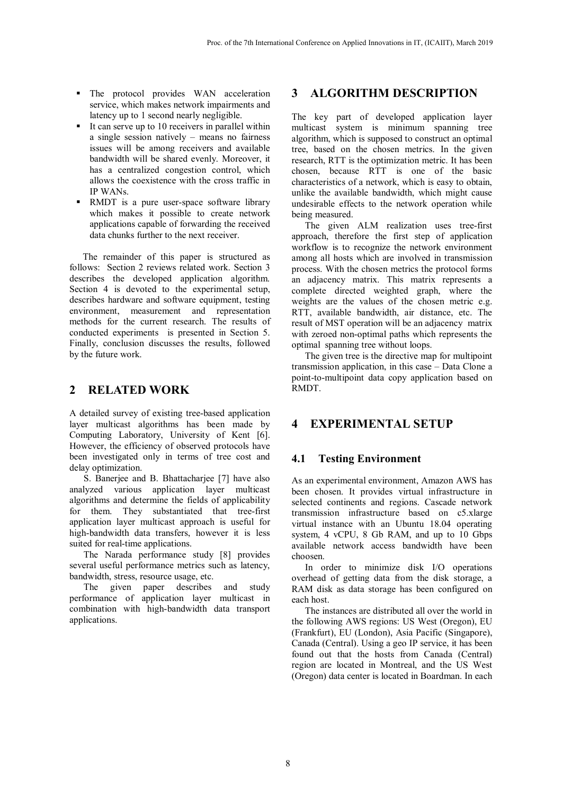- **The protocol provides WAN acceleration** service, which makes network impairments and latency up to 1 second nearly negligible.
- It can serve up to 10 receivers in parallel within a single session natively – means no fairness issues will be among receivers and available bandwidth will be shared evenly. Moreover, it has a centralized congestion control, which allows the coexistence with the cross traffic in IP WANs.
- RMDT is a pure user-space software library which makes it possible to create network applications capable of forwarding the received data chunks further to the next receiver.

The remainder of this paper is structured as follows: Section 2 reviews related work. Section 3 describes the developed application algorithm. Section 4 is devoted to the experimental setup, describes hardware and software equipment, testing environment, measurement and representation methods for the current research. The results of conducted experiments is presented in Section 5. Finally, conclusion discusses the results, followed by the future work.

## **2 RELATED WORK**

A detailed survey of existing tree-based application layer multicast algorithms has been made by Computing Laboratory, University of Kent [6]. However, the efficiency of observed protocols have been investigated only in terms of tree cost and delay optimization.

S. Banerjee and B. Bhattacharjee [7] have also analyzed various application layer multicast algorithms and determine the fields of applicability for them. They substantiated that tree-first application layer multicast approach is useful for high-bandwidth data transfers, however it is less suited for real-time applications.

The Narada performance study [8] provides several useful performance metrics such as latency, bandwidth, stress, resource usage, etc.

The given paper describes and study performance of application layer multicast in combination with high-bandwidth data transport applications.

## **3 ALGORITHM DESCRIPTION**

The key part of developed application layer multicast system is minimum spanning tree algorithm, which is supposed to construct an optimal tree, based on the chosen metrics. In the given research, RTT is the optimization metric. It has been chosen, because RTT is one of the basic characteristics of a network, which is easy to obtain, unlike the available bandwidth, which might cause undesirable effects to the network operation while being measured.

The given ALM realization uses tree-first approach, therefore the first step of application workflow is to recognize the network environment among all hosts which are involved in transmission process. With the chosen metrics the protocol forms an adjacency matrix. This matrix represents a complete directed weighted graph, where the weights are the values of the chosen metric e.g. RTT, available bandwidth, air distance, etc. The result of MST operation will be an adjacency matrix with zeroed non-optimal paths which represents the optimal spanning tree without loops.

The given tree is the directive map for multipoint transmission application, in this case – Data Clone a point-to-multipoint data copy application based on RMDT.

## **4 EXPERIMENTAL SETUP**

### **4.1 Testing Environment**

As an experimental environment, Amazon AWS has been chosen. It provides virtual infrastructure in selected continents and regions. Cascade network transmission infrastructure based on c5.xlarge virtual instance with an Ubuntu 18.04 operating system, 4 vCPU, 8 Gb RAM, and up to 10 Gbps available network access bandwidth have been choosen.

In order to minimize disk I/O operations overhead of getting data from the disk storage, a RAM disk as data storage has been configured on each host.

The instances are distributed all over the world in the following AWS regions: US West (Oregon), EU (Frankfurt), EU (London), Asia Pacific (Singapore), Canada (Central). Using a geo IP service, it has been found out that the hosts from Canada (Central) region are located in Montreal, and the US West (Oregon) data center is located in Boardman. In each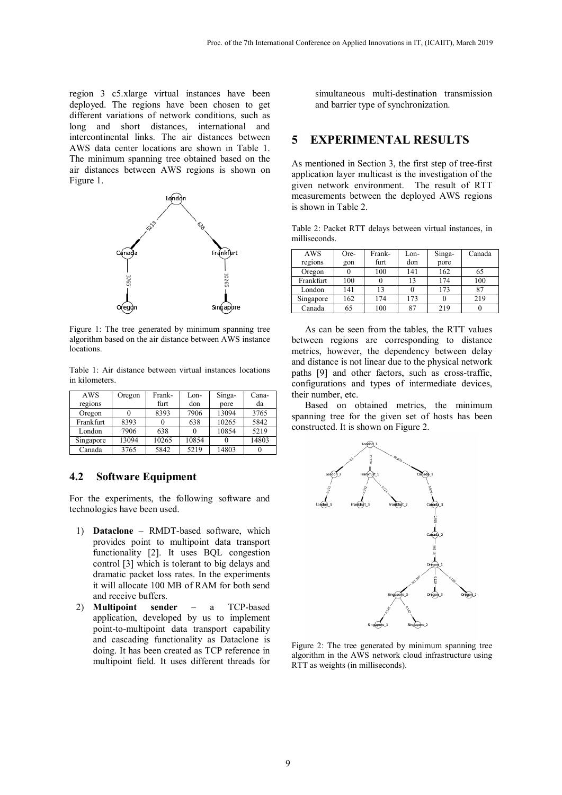region 3 c5.xlarge virtual instances have been deployed. The regions have been chosen to get different variations of network conditions, such as long and short distances, international and intercontinental links. The air distances between AWS data center locations are shown in Table 1. The minimum spanning tree obtained based on the air distances between AWS regions is shown on Figure 1.



Figure 1: The tree generated by minimum spanning tree algorithm based on the air distance between AWS instance locations.

Table 1: Air distance between virtual instances locations in kilometers.

| AWS       | Oregon | Frank- | Lon-  | Singa- | Cana- |
|-----------|--------|--------|-------|--------|-------|
| regions   |        | furt   | don   | pore   | da    |
| Oregon    |        | 8393   | 7906  | 13094  | 3765  |
| Frankfurt | 8393   |        | 638   | 10265  | 5842  |
| London    | 7906   | 638    |       | 10854  | 5219  |
| Singapore | 13094  | 10265  | 10854 |        | 14803 |
| Canada    | 3765   | 5842   | 5219  | 14803  |       |

#### **4.2 Software Equipment**

For the experiments, the following software and technologies have been used.

- 1) **Dataclone** RMDT-based software, which provides point to multipoint data transport functionality [2]. It uses BQL congestion control [3] which is tolerant to big delays and dramatic packet loss rates. In the experiments it will allocate 100 MB of RAM for both send and receive buffers.
- 2) **Multipoint sender** a TCP-based application, developed by us to implement point-to-multipoint data transport capability and cascading functionality as Dataclone is doing. It has been created as TCP reference in multipoint field. It uses different threads for

simultaneous multi-destination transmission and barrier type of synchronization.

### **5 EXPERIMENTAL RESULTS**

As mentioned in Section 3, the first step of tree-first application layer multicast is the investigation of the given network environment. The result of RTT measurements between the deployed AWS regions is shown in Table 2.

Table 2: Packet RTT delays between virtual instances, in milliseconds.

| AWS              | Ore- | Frank- | Lon- | Singa- | Canada |
|------------------|------|--------|------|--------|--------|
| regions          | gon  | furt   | don  | pore   |        |
| Oregon           |      | 100    | 141  | 162    | 65     |
| <b>Frankfurt</b> | 100  |        | 13   | 174    | 100    |
| London           | 141  | 13     |      | 173    | 87     |
| Singapore        | 162  | 174    | 173  |        | 219    |
| Canada           | 65   | 100    | 87   | 219    |        |

As can be seen from the tables, the RTT values between regions are corresponding to distance metrics, however, the dependency between delay and distance is not linear due to the physical network paths [9] and other factors, such as cross-traffic, configurations and types of intermediate devices, their number, etc.

Based on obtained metrics, the minimum spanning tree for the given set of hosts has been constructed. It is shown on Figure 2.



Figure 2: The tree generated by minimum spanning tree algorithm in the AWS network cloud infrastructure using RTT as weights (in milliseconds).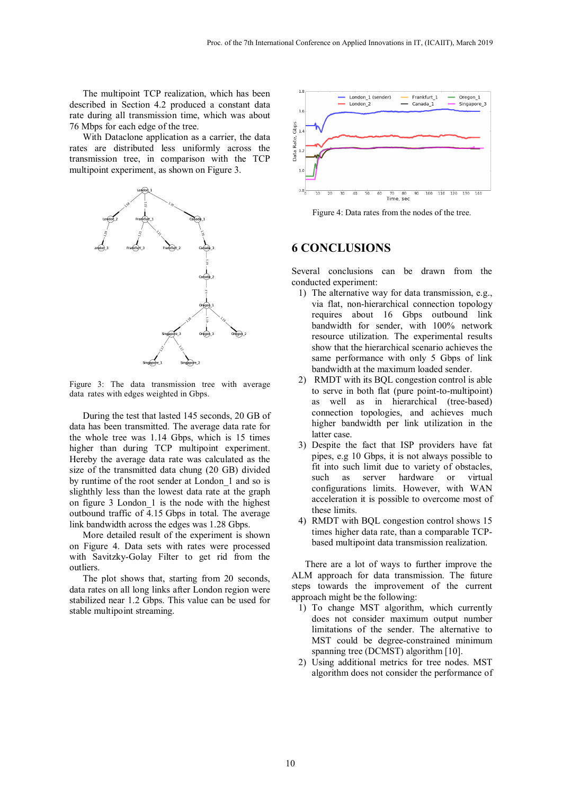The multipoint TCP realization, which has been described in Section 4.2 produced a constant data rate during all transmission time, which was about 76 Mbps for each edge of the tree.

With Dataclone application as a carrier, the data rates are distributed less uniformly across the transmission tree, in comparison with the TCP multipoint experiment, as shown on Figure 3.



Figure 3: The data transmission tree with average data rates with edges weighted in Gbps.

During the test that lasted 145 seconds, 20 GB of data has been transmitted. The average data rate for the whole tree was 1.14 Gbps, which is 15 times higher than during TCP multipoint experiment. Hereby the average data rate was calculated as the size of the transmitted data chung (20 GB) divided by runtime of the root sender at London\_1 and so is slighthly less than the lowest data rate at the graph on figure 3 London\_1 is the node with the highest outbound traffic of 4.15 Gbps in total. The average link bandwidth across the edges was 1.28 Gbps.

More detailed result of the experiment is shown on Figure 4. Data sets with rates were processed with Savitzky-Golay Filter to get rid from the outliers.

The plot shows that, starting from 20 seconds, data rates on all long links after London region were stabilized near 1.2 Gbps. This value can be used for stable multipoint streaming.



Figure 4: Data rates from the nodes of the tree.

## **6 CONCLUSIONS**

Several conclusions can be drawn from the conducted experiment:

- 1) The alternative way for data transmission, e.g., via flat, non-hierarchical connection topology requires about 16 Gbps outbound link bandwidth for sender, with 100% network resource utilization. The experimental results show that the hierarchical scenario achieves the same performance with only 5 Gbps of link bandwidth at the maximum loaded sender.
- 2) RMDT with its BQL congestion control is able to serve in both flat (pure point-to-multipoint) as well as in hierarchical (tree-based) connection topologies, and achieves much higher bandwidth per link utilization in the latter case.
- 3) Despite the fact that ISP providers have fat pipes, e.g 10 Gbps, it is not always possible to fit into such limit due to variety of obstacles, such as server hardware or virtual configurations limits. However, with WAN acceleration it is possible to overcome most of these limits.
- 4) RMDT with BQL congestion control shows 15 times higher data rate, than a comparable TCPbased multipoint data transmission realization.

There are a lot of ways to further improve the ALM approach for data transmission. The future steps towards the improvement of the current approach might be the following:

- 1) To change MST algorithm, which currently does not consider maximum output number limitations of the sender. The alternative to MST could be degree-constrained minimum spanning tree (DCMST) algorithm [10].
- 2) Using additional metrics for tree nodes. MST algorithm does not consider the performance of